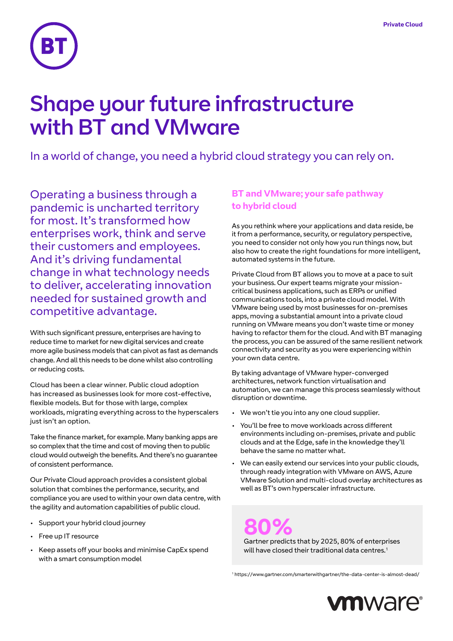

# Shape your future infrastructure with BT and VMware

In a world of change, you need a hybrid cloud strategy you can rely on.

Operating a business through a pandemic is uncharted territory for most. It's transformed how enterprises work, think and serve their customers and employees. And it's driving fundamental change in what technology needs to deliver, accelerating innovation needed for sustained growth and competitive advantage.

With such significant pressure, enterprises are having to reduce time to market for new digital services and create more agile business models that can pivot as fast as demands change. And all this needs to be done whilst also controlling or reducing costs.

Cloud has been a clear winner. Public cloud adoption has increased as businesses look for more cost-effective, flexible models. But for those with large, complex workloads, migrating everything across to the hyperscalers just isn't an option.

Take the finance market, for example. Many banking apps are so complex that the time and cost of moving then to public cloud would outweigh the benefits. And there's no guarantee of consistent performance.

Our Private Cloud approach provides a consistent global solution that combines the performance, security, and compliance you are used to within your own data centre, with the agility and automation capabilities of public cloud.

- Support your hybrid cloud journey
- Free up IT resource
- Keep assets off your books and minimise CapEx spend with a smart consumption model

# **BT and VMware; your safe pathway to hybrid cloud**

As you rethink where your applications and data reside, be it from a performance, security, or regulatory perspective, you need to consider not only how you run things now, but also how to create the right foundations for more intelligent, automated systems in the future.

Private Cloud from BT allows you to move at a pace to suit your business. Our expert teams migrate your missioncritical business applications, such as ERPs or unified communications tools, into a private cloud model. With VMware being used by most businesses for on-premises apps, moving a substantial amount into a private cloud running on VMware means you don't waste time or money having to refactor them for the cloud. And with BT managing the process, you can be assured of the same resilient network connectivity and security as you were experiencing within your own data centre.

By taking advantage of VMware hyper-converged architectures, network function virtualisation and automation, we can manage this process seamlessly without disruption or downtime.

- We won't tie you into any one cloud supplier.
- You'll be free to move workloads across different environments including on-premises, private and public clouds and at the Edge, safe in the knowledge they'll behave the same no matter what.
- We can easily extend our services into your public clouds, through ready integration with VMware on AWS, Azure VMware Solution and multi-cloud overlay architectures as well as BT's own hyperscaler infrastructure.

**800%**<br>Gartner predicts that by 2025, 80% of enterprises

will have closed their traditional data centres.<sup>1</sup>

1 https://www.gartner.com/smarterwithgartner/the-data-center-is-almost-dead/